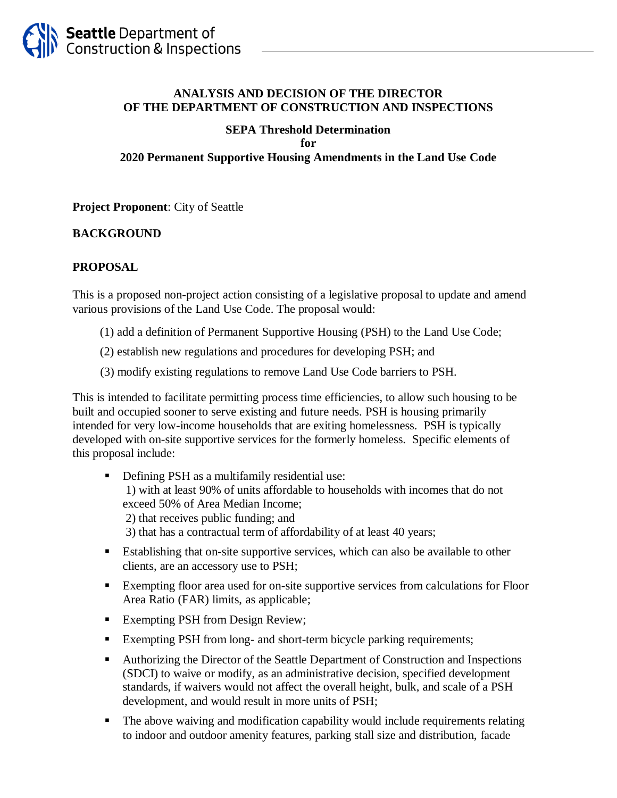

#### **ANALYSIS AND DECISION OF THE DIRECTOR OF THE DEPARTMENT OF CONSTRUCTION AND INSPECTIONS**

#### **SEPA Threshold Determination for 2020 Permanent Supportive Housing Amendments in the Land Use Code**

#### **Project Proponent**: City of Seattle

#### **BACKGROUND**

#### **PROPOSAL**

This is a proposed non-project action consisting of a legislative proposal to update and amend various provisions of the Land Use Code. The proposal would:

- (1) add a definition of Permanent Supportive Housing (PSH) to the Land Use Code;
- (2) establish new regulations and procedures for developing PSH; and
- (3) modify existing regulations to remove Land Use Code barriers to PSH.

This is intended to facilitate permitting process time efficiencies, to allow such housing to be built and occupied sooner to serve existing and future needs. PSH is housing primarily intended for very low-income households that are exiting homelessness. PSH is typically developed with on-site supportive services for the formerly homeless. Specific elements of this proposal include:

**•** Defining PSH as a multifamily residential use: 1) with at least 90% of units affordable to households with incomes that do not exceed 50% of Area Median Income; 2) that receives public funding; and 3) that has a contractual term of affordability of at least 40 years;

- Establishing that on-site supportive services, which can also be available to other clients, are an accessory use to PSH;
- Exempting floor area used for on-site supportive services from calculations for Floor Area Ratio (FAR) limits, as applicable;
- Exempting PSH from Design Review;
- Exempting PSH from long- and short-term bicycle parking requirements;
- Authorizing the Director of the Seattle Department of Construction and Inspections (SDCI) to waive or modify, as an administrative decision, specified development standards, if waivers would not affect the overall height, bulk, and scale of a PSH development, and would result in more units of PSH;
- The above waiving and modification capability would include requirements relating to indoor and outdoor amenity features, parking stall size and distribution, facade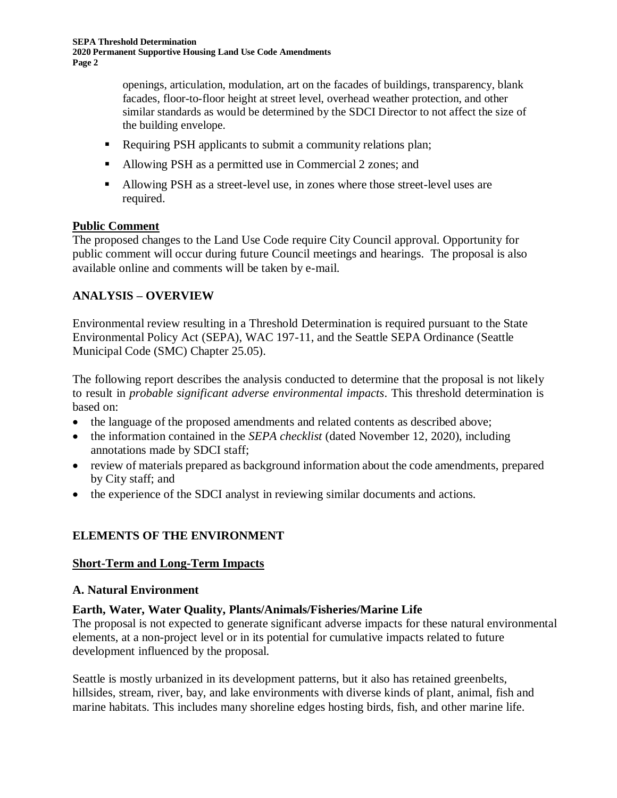openings, articulation, modulation, art on the facades of buildings, transparency, blank facades, floor-to-floor height at street level, overhead weather protection, and other similar standards as would be determined by the SDCI Director to not affect the size of the building envelope.

- Requiring PSH applicants to submit a community relations plan;
- Allowing PSH as a permitted use in Commercial 2 zones; and
- Allowing PSH as a street-level use, in zones where those street-level uses are required.

#### **Public Comment**

The proposed changes to the Land Use Code require City Council approval. Opportunity for public comment will occur during future Council meetings and hearings. The proposal is also available online and comments will be taken by e-mail.

# **ANALYSIS – OVERVIEW**

Environmental review resulting in a Threshold Determination is required pursuant to the State Environmental Policy Act (SEPA), WAC 197-11, and the Seattle SEPA Ordinance (Seattle Municipal Code (SMC) Chapter 25.05).

The following report describes the analysis conducted to determine that the proposal is not likely to result in *probable significant adverse environmental impacts*. This threshold determination is based on:

- the language of the proposed amendments and related contents as described above;
- the information contained in the *SEPA checklist* (dated November 12, 2020), including annotations made by SDCI staff;
- review of materials prepared as background information about the code amendments, prepared by City staff; and
- the experience of the SDCI analyst in reviewing similar documents and actions.

# **ELEMENTS OF THE ENVIRONMENT**

#### **Short-Term and Long-Term Impacts**

#### **A. Natural Environment**

## **Earth, Water, Water Quality, Plants/Animals/Fisheries/Marine Life**

The proposal is not expected to generate significant adverse impacts for these natural environmental elements, at a non-project level or in its potential for cumulative impacts related to future development influenced by the proposal.

Seattle is mostly urbanized in its development patterns, but it also has retained greenbelts, hillsides, stream, river, bay, and lake environments with diverse kinds of plant, animal, fish and marine habitats. This includes many shoreline edges hosting birds, fish, and other marine life.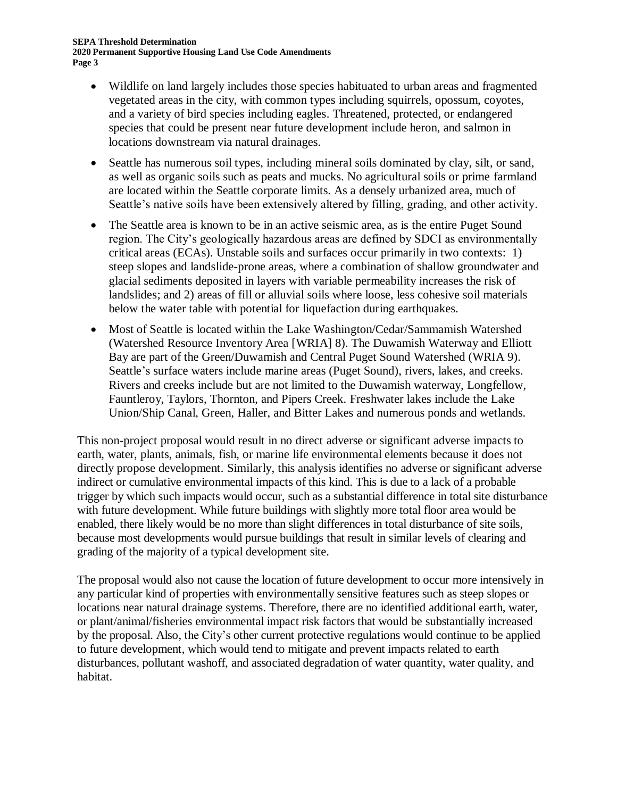- Wildlife on land largely includes those species habituated to urban areas and fragmented vegetated areas in the city, with common types including squirrels, opossum, coyotes, and a variety of bird species including eagles. Threatened, protected, or endangered species that could be present near future development include heron, and salmon in locations downstream via natural drainages.
- Seattle has numerous soil types, including mineral soils dominated by clay, silt, or sand, as well as organic soils such as peats and mucks. No agricultural soils or prime farmland are located within the Seattle corporate limits. As a densely urbanized area, much of Seattle's native soils have been extensively altered by filling, grading, and other activity.
- The Seattle area is known to be in an active seismic area, as is the entire Puget Sound region. The City's geologically hazardous areas are defined by SDCI as environmentally critical areas (ECAs). Unstable soils and surfaces occur primarily in two contexts: 1) steep slopes and landslide-prone areas, where a combination of shallow groundwater and glacial sediments deposited in layers with variable permeability increases the risk of landslides; and 2) areas of fill or alluvial soils where loose, less cohesive soil materials below the water table with potential for liquefaction during earthquakes.
- Most of Seattle is located within the Lake Washington/Cedar/Sammamish Watershed (Watershed Resource Inventory Area [WRIA] 8). The Duwamish Waterway and Elliott Bay are part of the Green/Duwamish and Central Puget Sound Watershed (WRIA 9). Seattle's surface waters include marine areas (Puget Sound), rivers, lakes, and creeks. Rivers and creeks include but are not limited to the Duwamish waterway, Longfellow, Fauntleroy, Taylors, Thornton, and Pipers Creek. Freshwater lakes include the Lake Union/Ship Canal, Green, Haller, and Bitter Lakes and numerous ponds and wetlands.

This non-project proposal would result in no direct adverse or significant adverse impacts to earth, water, plants, animals, fish, or marine life environmental elements because it does not directly propose development. Similarly, this analysis identifies no adverse or significant adverse indirect or cumulative environmental impacts of this kind. This is due to a lack of a probable trigger by which such impacts would occur, such as a substantial difference in total site disturbance with future development. While future buildings with slightly more total floor area would be enabled, there likely would be no more than slight differences in total disturbance of site soils, because most developments would pursue buildings that result in similar levels of clearing and grading of the majority of a typical development site.

The proposal would also not cause the location of future development to occur more intensively in any particular kind of properties with environmentally sensitive features such as steep slopes or locations near natural drainage systems. Therefore, there are no identified additional earth, water, or plant/animal/fisheries environmental impact risk factors that would be substantially increased by the proposal. Also, the City's other current protective regulations would continue to be applied to future development, which would tend to mitigate and prevent impacts related to earth disturbances, pollutant washoff, and associated degradation of water quantity, water quality, and habitat.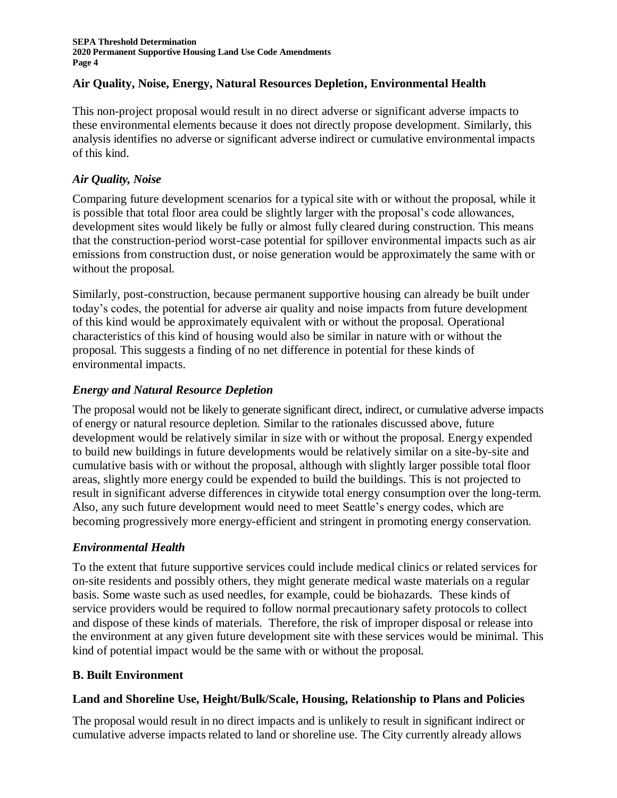### **Air Quality, Noise, Energy, Natural Resources Depletion, Environmental Health**

This non-project proposal would result in no direct adverse or significant adverse impacts to these environmental elements because it does not directly propose development. Similarly, this analysis identifies no adverse or significant adverse indirect or cumulative environmental impacts of this kind.

### *Air Quality, Noise*

Comparing future development scenarios for a typical site with or without the proposal, while it is possible that total floor area could be slightly larger with the proposal's code allowances, development sites would likely be fully or almost fully cleared during construction. This means that the construction-period worst-case potential for spillover environmental impacts such as air emissions from construction dust, or noise generation would be approximately the same with or without the proposal.

Similarly, post-construction, because permanent supportive housing can already be built under today's codes, the potential for adverse air quality and noise impacts from future development of this kind would be approximately equivalent with or without the proposal. Operational characteristics of this kind of housing would also be similar in nature with or without the proposal. This suggests a finding of no net difference in potential for these kinds of environmental impacts.

#### *Energy and Natural Resource Depletion*

The proposal would not be likely to generate significant direct, indirect, or cumulative adverse impacts of energy or natural resource depletion. Similar to the rationales discussed above, future development would be relatively similar in size with or without the proposal. Energy expended to build new buildings in future developments would be relatively similar on a site-by-site and cumulative basis with or without the proposal, although with slightly larger possible total floor areas, slightly more energy could be expended to build the buildings. This is not projected to result in significant adverse differences in citywide total energy consumption over the long-term. Also, any such future development would need to meet Seattle's energy codes, which are becoming progressively more energy-efficient and stringent in promoting energy conservation.

#### *Environmental Health*

To the extent that future supportive services could include medical clinics or related services for on-site residents and possibly others, they might generate medical waste materials on a regular basis. Some waste such as used needles, for example, could be biohazards. These kinds of service providers would be required to follow normal precautionary safety protocols to collect and dispose of these kinds of materials. Therefore, the risk of improper disposal or release into the environment at any given future development site with these services would be minimal. This kind of potential impact would be the same with or without the proposal.

#### **B. Built Environment**

#### **Land and Shoreline Use, Height/Bulk/Scale, Housing, Relationship to Plans and Policies**

The proposal would result in no direct impacts and is unlikely to result in significant indirect or cumulative adverse impacts related to land or shoreline use. The City currently already allows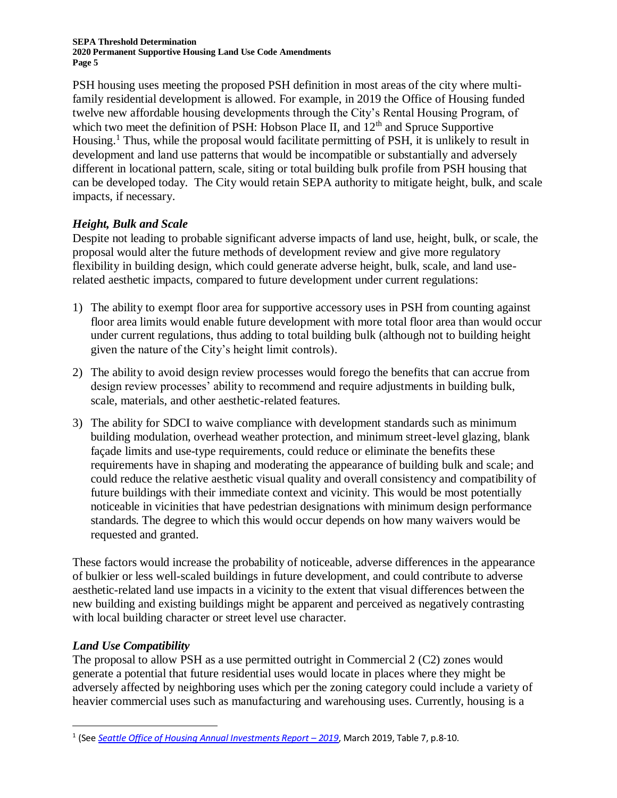**SEPA Threshold Determination 2020 Permanent Supportive Housing Land Use Code Amendments Page 5**

PSH housing uses meeting the proposed PSH definition in most areas of the city where multifamily residential development is allowed. For example, in 2019 the Office of Housing funded twelve new affordable housing developments through the City's Rental Housing Program, of which two meet the definition of PSH: Hobson Place II, and  $12<sup>th</sup>$  and Spruce Supportive Housing.<sup>1</sup> Thus, while the proposal would facilitate permitting of PSH, it is unlikely to result in development and land use patterns that would be incompatible or substantially and adversely different in locational pattern, scale, siting or total building bulk profile from PSH housing that can be developed today. The City would retain SEPA authority to mitigate height, bulk, and scale impacts, if necessary.

#### *Height, Bulk and Scale*

Despite not leading to probable significant adverse impacts of land use, height, bulk, or scale, the proposal would alter the future methods of development review and give more regulatory flexibility in building design, which could generate adverse height, bulk, scale, and land userelated aesthetic impacts, compared to future development under current regulations:

- 1) The ability to exempt floor area for supportive accessory uses in PSH from counting against floor area limits would enable future development with more total floor area than would occur under current regulations, thus adding to total building bulk (although not to building height given the nature of the City's height limit controls).
- 2) The ability to avoid design review processes would forego the benefits that can accrue from design review processes' ability to recommend and require adjustments in building bulk, scale, materials, and other aesthetic-related features.
- 3) The ability for SDCI to waive compliance with development standards such as minimum building modulation, overhead weather protection, and minimum street-level glazing, blank façade limits and use-type requirements, could reduce or eliminate the benefits these requirements have in shaping and moderating the appearance of building bulk and scale; and could reduce the relative aesthetic visual quality and overall consistency and compatibility of future buildings with their immediate context and vicinity. This would be most potentially noticeable in vicinities that have pedestrian designations with minimum design performance standards. The degree to which this would occur depends on how many waivers would be requested and granted.

These factors would increase the probability of noticeable, adverse differences in the appearance of bulkier or less well-scaled buildings in future development, and could contribute to adverse aesthetic-related land use impacts in a vicinity to the extent that visual differences between the new building and existing buildings might be apparent and perceived as negatively contrasting with local building character or street level use character.

## *Land Use Compatibility*

The proposal to allow PSH as a use permitted outright in Commercial 2 (C2) zones would generate a potential that future residential uses would locate in places where they might be adversely affected by neighboring uses which per the zoning category could include a variety of heavier commercial uses such as manufacturing and warehousing uses. Currently, housing is a

<sup>&</sup>lt;sup>1</sup> (See *[Seattle Office of Housing Annual Investments Report](http://www.seattle.gov/Documents/Departments/Housing/Footer%20Pages/Data%20and%20Reports/2019%20Investments%20Report.pdf) – 2019, March 2019, Table 7, p.8-10.*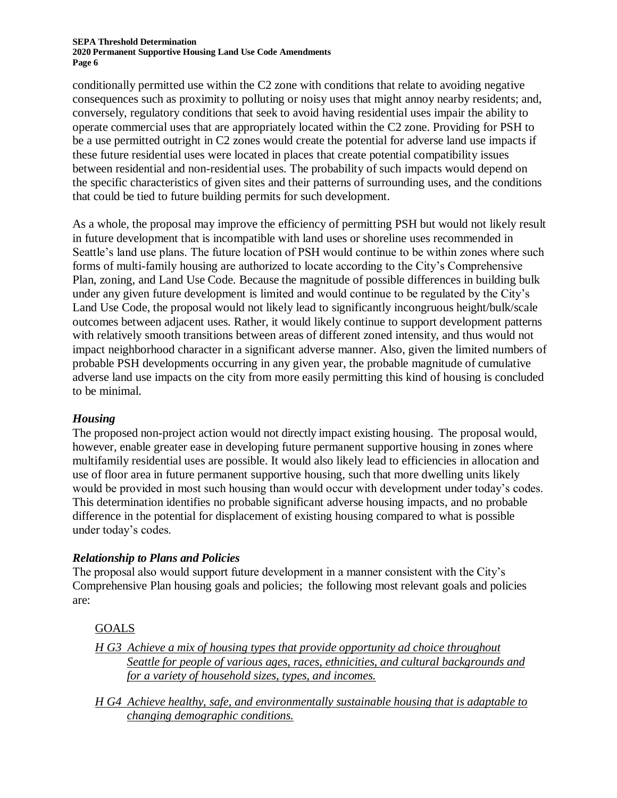#### **SEPA Threshold Determination 2020 Permanent Supportive Housing Land Use Code Amendments Page 6**

conditionally permitted use within the C2 zone with conditions that relate to avoiding negative consequences such as proximity to polluting or noisy uses that might annoy nearby residents; and, conversely, regulatory conditions that seek to avoid having residential uses impair the ability to operate commercial uses that are appropriately located within the C2 zone. Providing for PSH to be a use permitted outright in C2 zones would create the potential for adverse land use impacts if these future residential uses were located in places that create potential compatibility issues between residential and non-residential uses. The probability of such impacts would depend on the specific characteristics of given sites and their patterns of surrounding uses, and the conditions that could be tied to future building permits for such development.

As a whole, the proposal may improve the efficiency of permitting PSH but would not likely result in future development that is incompatible with land uses or shoreline uses recommended in Seattle's land use plans. The future location of PSH would continue to be within zones where such forms of multi-family housing are authorized to locate according to the City's Comprehensive Plan, zoning, and Land Use Code. Because the magnitude of possible differences in building bulk under any given future development is limited and would continue to be regulated by the City's Land Use Code, the proposal would not likely lead to significantly incongruous height/bulk/scale outcomes between adjacent uses. Rather, it would likely continue to support development patterns with relatively smooth transitions between areas of different zoned intensity, and thus would not impact neighborhood character in a significant adverse manner. Also, given the limited numbers of probable PSH developments occurring in any given year, the probable magnitude of cumulative adverse land use impacts on the city from more easily permitting this kind of housing is concluded to be minimal.

#### *Housing*

The proposed non-project action would not directly impact existing housing. The proposal would, however, enable greater ease in developing future permanent supportive housing in zones where multifamily residential uses are possible. It would also likely lead to efficiencies in allocation and use of floor area in future permanent supportive housing, such that more dwelling units likely would be provided in most such housing than would occur with development under today's codes. This determination identifies no probable significant adverse housing impacts, and no probable difference in the potential for displacement of existing housing compared to what is possible under today's codes.

#### *Relationship to Plans and Policies*

The proposal also would support future development in a manner consistent with the City's Comprehensive Plan housing goals and policies; the following most relevant goals and policies are:

#### GOALS

- *H G3 Achieve a mix of housing types that provide opportunity ad choice throughout Seattle for people of various ages, races, ethnicities, and cultural backgrounds and for a variety of household sizes, types, and incomes.*
- *H G4 Achieve healthy, safe, and environmentally sustainable housing that is adaptable to changing demographic conditions.*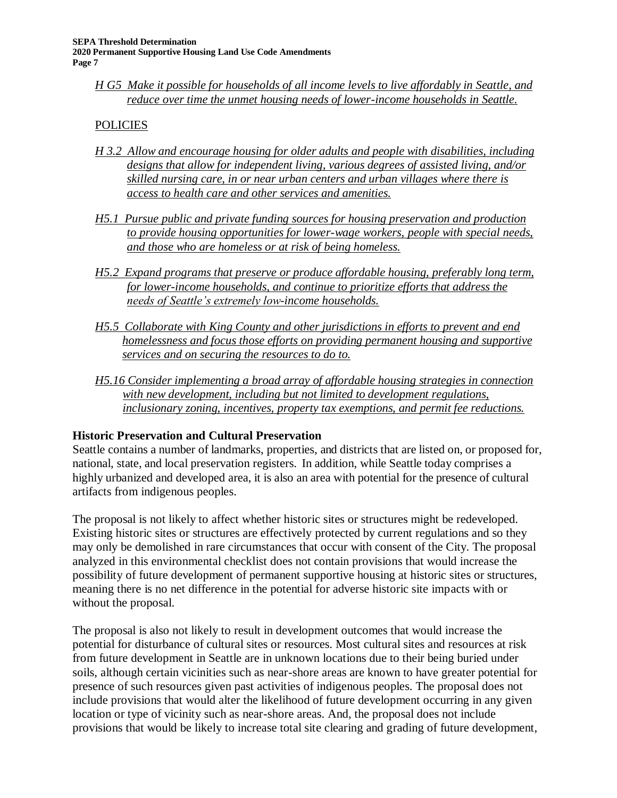*H G5 Make it possible for households of all income levels to live affordably in Seattle, and reduce over time the unmet housing needs of lower-income households in Seattle.*

### **POLICIES**

- *H 3.2 Allow and encourage housing for older adults and people with disabilities, including designs that allow for independent living, various degrees of assisted living, and/or skilled nursing care, in or near urban centers and urban villages where there is access to health care and other services and amenities.*
- *H5.1 Pursue public and private funding sources for housing preservation and production to provide housing opportunities for lower-wage workers, people with special needs, and those who are homeless or at risk of being homeless.*
- *H5.2 Expand programs that preserve or produce affordable housing, preferably long term, for lower-income households, and continue to prioritize efforts that address the needs of Seattle's extremely low-income households.*
- *H5.5 Collaborate with King County and other jurisdictions in efforts to prevent and end homelessness and focus those efforts on providing permanent housing and supportive services and on securing the resources to do to.*
- *H5.16 Consider implementing a broad array of affordable housing strategies in connection with new development, including but not limited to development regulations, inclusionary zoning, incentives, property tax exemptions, and permit fee reductions.*

#### **Historic Preservation and Cultural Preservation**

Seattle contains a number of landmarks, properties, and districts that are listed on, or proposed for, national, state, and local preservation registers. In addition, while Seattle today comprises a highly urbanized and developed area, it is also an area with potential for the presence of cultural artifacts from indigenous peoples.

The proposal is not likely to affect whether historic sites or structures might be redeveloped. Existing historic sites or structures are effectively protected by current regulations and so they may only be demolished in rare circumstances that occur with consent of the City. The proposal analyzed in this environmental checklist does not contain provisions that would increase the possibility of future development of permanent supportive housing at historic sites or structures, meaning there is no net difference in the potential for adverse historic site impacts with or without the proposal.

The proposal is also not likely to result in development outcomes that would increase the potential for disturbance of cultural sites or resources. Most cultural sites and resources at risk from future development in Seattle are in unknown locations due to their being buried under soils, although certain vicinities such as near-shore areas are known to have greater potential for presence of such resources given past activities of indigenous peoples. The proposal does not include provisions that would alter the likelihood of future development occurring in any given location or type of vicinity such as near-shore areas. And, the proposal does not include provisions that would be likely to increase total site clearing and grading of future development,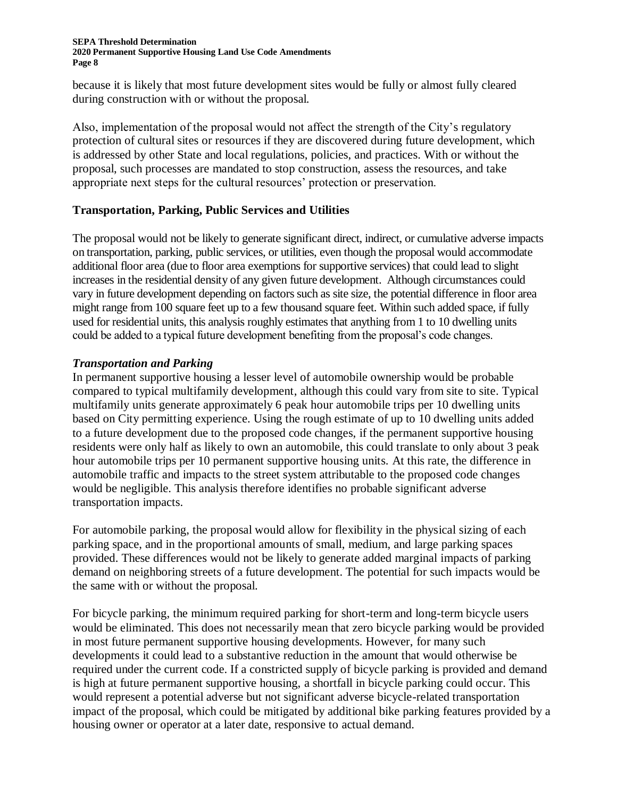#### **SEPA Threshold Determination 2020 Permanent Supportive Housing Land Use Code Amendments Page 8**

because it is likely that most future development sites would be fully or almost fully cleared during construction with or without the proposal.

Also, implementation of the proposal would not affect the strength of the City's regulatory protection of cultural sites or resources if they are discovered during future development, which is addressed by other State and local regulations, policies, and practices. With or without the proposal, such processes are mandated to stop construction, assess the resources, and take appropriate next steps for the cultural resources' protection or preservation.

#### **Transportation, Parking, Public Services and Utilities**

The proposal would not be likely to generate significant direct, indirect, or cumulative adverse impacts on transportation, parking, public services, or utilities, even though the proposal would accommodate additional floor area (due to floor area exemptions for supportive services) that could lead to slight increases in the residential density of any given future development. Although circumstances could vary in future development depending on factors such as site size, the potential difference in floor area might range from 100 square feet up to a few thousand square feet. Within such added space, if fully used for residential units, this analysis roughly estimates that anything from 1 to 10 dwelling units could be added to a typical future development benefiting from the proposal's code changes.

#### *Transportation and Parking*

In permanent supportive housing a lesser level of automobile ownership would be probable compared to typical multifamily development, although this could vary from site to site. Typical multifamily units generate approximately 6 peak hour automobile trips per 10 dwelling units based on City permitting experience. Using the rough estimate of up to 10 dwelling units added to a future development due to the proposed code changes, if the permanent supportive housing residents were only half as likely to own an automobile, this could translate to only about 3 peak hour automobile trips per 10 permanent supportive housing units. At this rate, the difference in automobile traffic and impacts to the street system attributable to the proposed code changes would be negligible. This analysis therefore identifies no probable significant adverse transportation impacts.

For automobile parking, the proposal would allow for flexibility in the physical sizing of each parking space, and in the proportional amounts of small, medium, and large parking spaces provided. These differences would not be likely to generate added marginal impacts of parking demand on neighboring streets of a future development. The potential for such impacts would be the same with or without the proposal.

For bicycle parking, the minimum required parking for short-term and long-term bicycle users would be eliminated. This does not necessarily mean that zero bicycle parking would be provided in most future permanent supportive housing developments. However, for many such developments it could lead to a substantive reduction in the amount that would otherwise be required under the current code. If a constricted supply of bicycle parking is provided and demand is high at future permanent supportive housing, a shortfall in bicycle parking could occur. This would represent a potential adverse but not significant adverse bicycle-related transportation impact of the proposal, which could be mitigated by additional bike parking features provided by a housing owner or operator at a later date, responsive to actual demand.